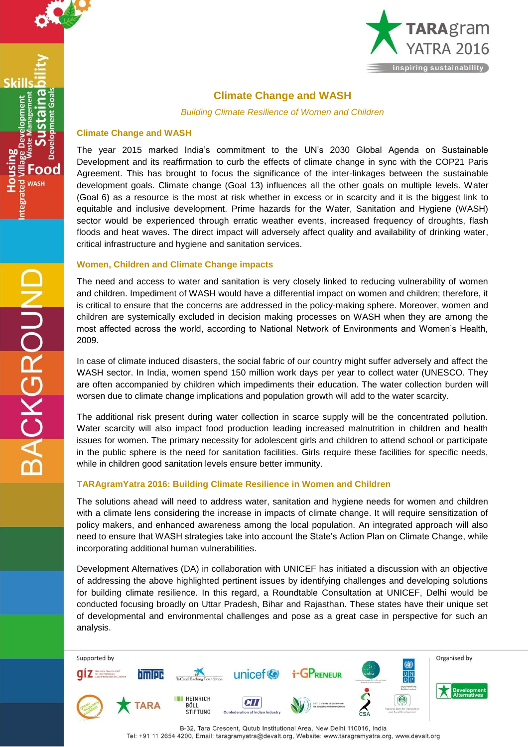

Skil

Food **WASH** 



## **Climate Change and WASH**

*Building Climate Resilience of Women and Children*

## **Climate Change and WASH**

The year 2015 marked India's commitment to the UN's 2030 Global Agenda on Sustainable Development and its reaffirmation to curb the effects of climate change in sync with the COP21 Paris Agreement. This has brought to focus the significance of the inter-linkages between the sustainable development goals. Climate change (Goal 13) influences all the other goals on multiple levels. Water (Goal 6) as a resource is the most at risk whether in excess or in scarcity and it is the biggest link to equitable and inclusive development. Prime hazards for the Water, Sanitation and Hygiene (WASH) sector would be experienced through erratic weather events, increased frequency of droughts, flash floods and heat waves. The direct impact will adversely affect quality and availability of drinking water, critical infrastructure and hygiene and sanitation services.

## **Women, Children and Climate Change impacts**

The need and access to water and sanitation is very closely linked to reducing vulnerability of women and children. Impediment of WASH would have a differential impact on women and children; therefore, it is critical to ensure that the concerns are addressed in the policy-making sphere. Moreover, women and children are systemically excluded in decision making processes on WASH when they are among the most affected across the world, according to National Network of Environments and Women's Health, 2009.

In case of climate induced disasters, the social fabric of our country might suffer adversely and affect the WASH sector. In India, women spend 150 million work days per year to collect water (UNESCO. They are often accompanied by children which impediments their education. The water collection burden will worsen due to climate change implications and population growth will add to the water scarcity.

The additional risk present during water collection in scarce supply will be the concentrated pollution. Water scarcity will also impact food production leading increased malnutrition in children and health issues for women. The primary necessity for adolescent girls and children to attend school or participate in the public sphere is the need for sanitation facilities. Girls require these facilities for specific needs, while in children good sanitation levels ensure better immunity.

## **TARAgramYatra 2016: Building Climate Resilience in Women and Children**

The solutions ahead will need to address water, sanitation and hygiene needs for women and children with a climate lens considering the increase in impacts of climate change. It will require sensitization of policy makers, and enhanced awareness among the local population. An integrated approach will also need to ensure that WASH strategies take into account the State's Action Plan on Climate Change, while incorporating additional human vulnerabilities.

Development Alternatives (DA) in collaboration with UNICEF has initiated a discussion with an objective of addressing the above highlighted pertinent issues by identifying challenges and developing solutions for building climate resilience. In this regard, a Roundtable Consultation at UNICEF, Delhi would be conducted focusing broadly on Uttar Pradesh, Bihar and Rajasthan. These states have their unique set of developmental and environmental challenges and pose as a great case in perspective for such an analysis.



B-32, Tara Crescent, Qutub Institutional Area, New Delhi 110016, India Tel: +91 11 2654 4200, Email: taragramyatra@devalt.org, Website: www.taragramyatra.org, www.devalt.org